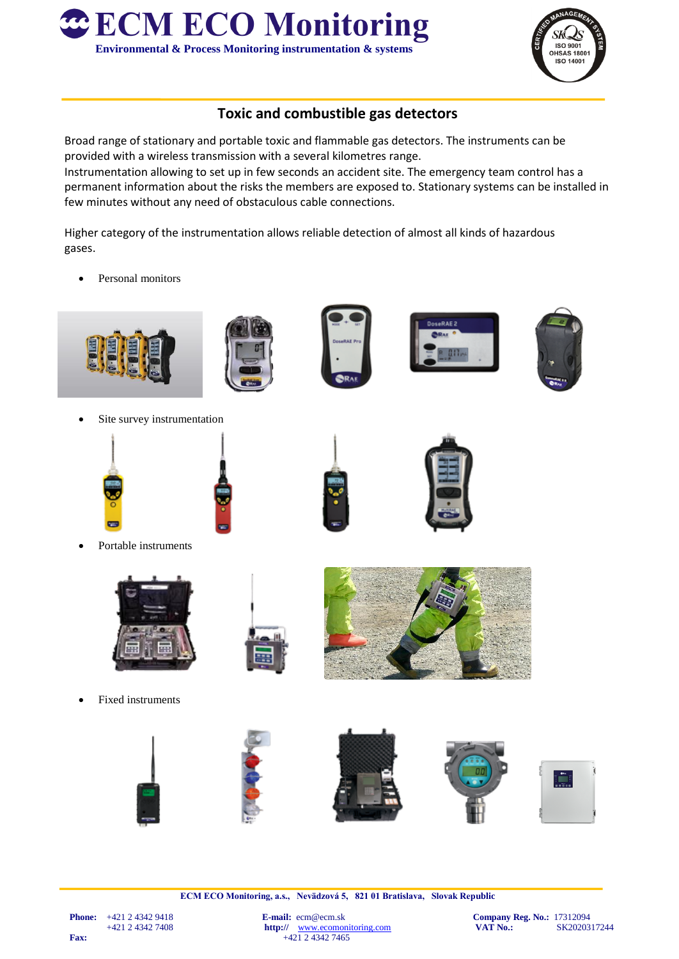



## **Toxic and combustible gas detectors**

Broad range of stationary and portable toxic and flammable gas detectors. The instruments can be provided with a wireless transmission with a several kilometres range.

Instrumentation allowing to set up in few seconds an accident site. The emergency team control has a permanent information about the risks the members are exposed to. Stationary systems can be installed in few minutes without any need of obstaculous cable connections.

Higher category of the instrumentation allows reliable detection of almost all kinds of hazardous gases.

Personal monitors





Site survey instrumentation



Portable instruments



Fixed instruments







**ECM ECO Monitoring, a.s., Nevädzová 5, 821 01 Bratislava, Slovak Republic**

http:// [www.ecomonitoring.com](http://www.ecomonitoring.com/) **Fax:**  $+421243427465$ 

**Phone:**  $+421 \ 2 \ 4342 \ 9418$ <br> $+421 \ 2 \ 4342 \ 7408$ <br>**E-mail:**  $e$ cm@ecm.sk **Company Reg. No.:** 17312094<br>**Http://** www.ecomonitoring.com **VAT No.:** SK2020317244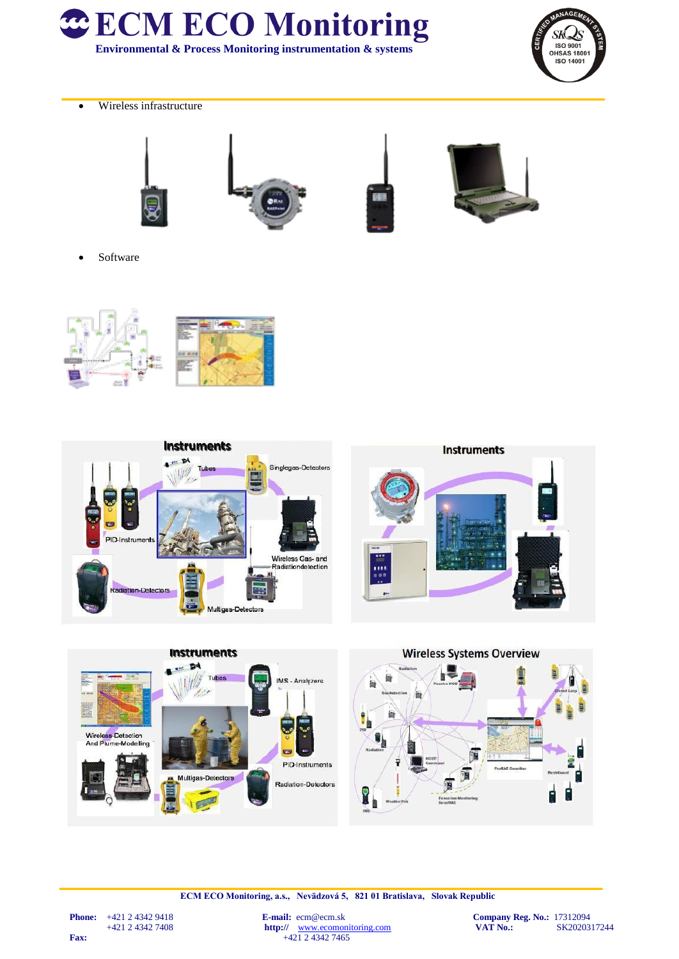



Wireless infrastructure









• Software







**ECM ECO Monitoring, a.s., Nevädzová 5, 821 01 Bratislava, Slovak Republic**

http:// [www.ecomonitoring.com](http://www.ecomonitoring.com/) **Fax:**  $+42\overline{)243427465}$